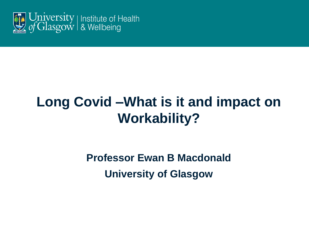

# **Long Covid –What is it and impact on Workability?**

**Professor Ewan B Macdonald University of Glasgow**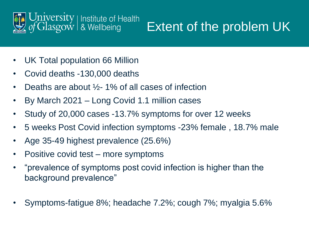

# Extent of the problem UK

- UK Total population 66 Million
- Covid deaths -130,000 deaths
- Deaths are about  $\frac{1}{2}$ -1% of all cases of infection
- By March 2021 Long Covid 1.1 million cases
- Study of 20,000 cases -13.7% symptoms for over 12 weeks
- 5 weeks Post Covid infection symptoms -23% female , 18.7% male
- Age 35-49 highest prevalence (25.6%)
- Positive covid test more symptoms
- "prevalence of symptoms post covid infection is higher than the background prevalence"
- Symptoms-fatigue 8%; headache 7.2%; cough 7%; myalgia 5.6%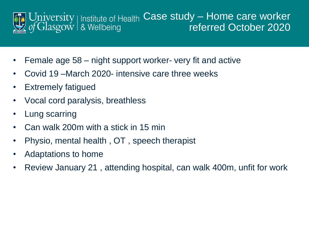

- Female age 58 night support worker- very fit and active
- Covid 19 –March 2020- intensive care three weeks
- Extremely fatigued
- Vocal cord paralysis, breathless
- Lung scarring
- Can walk 200m with a stick in 15 min
- Physio, mental health , OT , speech therapist
- Adaptations to home
- Review January 21 , attending hospital, can walk 400m, unfit for work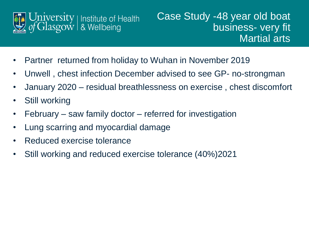

- Partner returned from holiday to Wuhan in November 2019
- Unwell , chest infection December advised to see GP- no-strongman
- January 2020 residual breathlessness on exercise , chest discomfort
- Still working
- February saw family doctor referred for investigation
- Lung scarring and myocardial damage
- Reduced exercise tolerance
- Still working and reduced exercise tolerance (40%)2021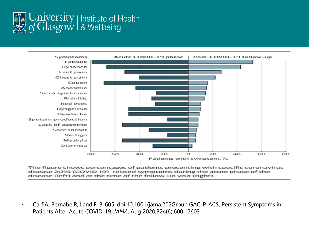



The figure shows percentages of patients presenting with specific coronavirus disease 2019 (COVID-19)-related symptoms during the acute phase of the disease (left) and at the time of the follow-up visit (right).

• CarfìA, BernabeiR, LandiF, 3-605. doi:10.1001/jama.202Group GAC-P-ACS. Persistent Symptoms in Patients After Acute COVID-19. *JAMA*. Aug 2020;324(6):600.12603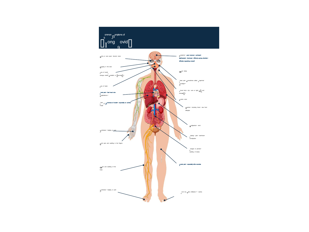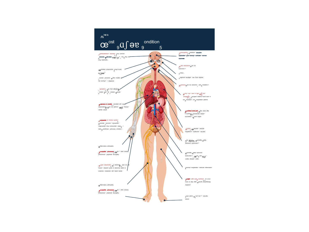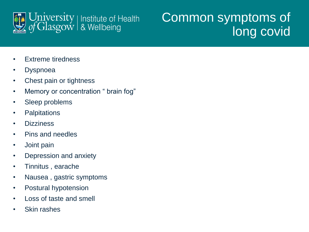

# Common symptoms of long covid

- Extreme tiredness
- Dyspnoea
- Chest pain or tightness
- Memory or concentration " brain fog"
- Sleep problems
- Palpitations
- Dizziness
- Pins and needles
- Joint pain
- Depression and anxiety
- Tinnitus , earache
- Nausea , gastric symptoms
- Postural hypotension
- Loss of taste and smell
- Skin rashes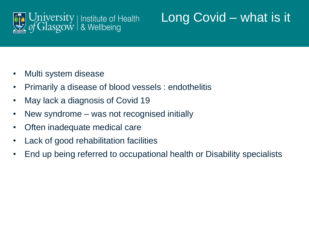

# Long Covid – what is it

- Multi system disease
- Primarily a disease of blood vessels : endothelitis
- May lack a diagnosis of Covid 19
- New syndrome was not recognised initially
- Often inadequate medical care
- Lack of good rehabilitation facilities
- End up being referred to occupational health or Disability specialists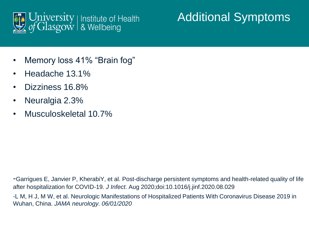

#### Additional Symptoms

- Memory loss 41% "Brain fog"
- Headache 13.1%
- Dizziness 16.8%
- Neuralgia 2.3%
- Musculoskeletal 10.7%

-Garrigues E, Janvier P, KherabiY, et al. Post-discharge persistent symptoms and health-related quality of life after hospitalization for COVID-19. *J Infect*. Aug 2020;doi:10.1016/j.jinf.2020.08.029

-L M, H J, M W, et al. Neurologic Manifestations of Hospitalized Patients With Coronavirus Disease 2019 in Wuhan, China. *JAMA neurology. 06/01/2020*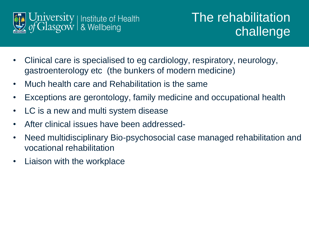

## The rehabilitation challenge

- Clinical care is specialised to eg cardiology, respiratory, neurology, gastroenterology etc (the bunkers of modern medicine)
- Much health care and Rehabilitation is the same
- Exceptions are gerontology, family medicine and occupational health
- LC is a new and multi system disease
- After clinical issues have been addressed-
- Need multidisciplinary Bio-psychosocial case managed rehabilitation and vocational rehabilitation
- Liaison with the workplace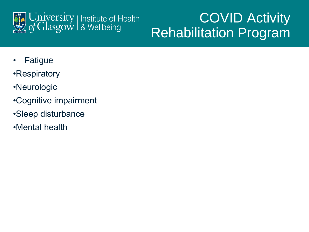

# COVID Activity Rehabilitation Program

- Fatigue
- •Respiratory
- •Neurologic
- •Cognitive impairment
- •Sleep disturbance
- •Mental health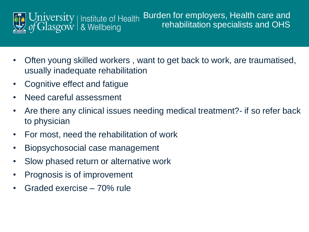

- Often young skilled workers , want to get back to work, are traumatised, usually inadequate rehabilitation
- Cognitive effect and fatigue
- Need careful assessment
- Are there any clinical issues needing medical treatment?- if so refer back to physician
- For most, need the rehabilitation of work
- Biopsychosocial case management
- Slow phased return or alternative work
- Prognosis is of improvement
- Graded exercise 70% rule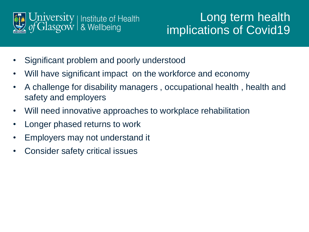

#### Long term health implications of Covid19

- Significant problem and poorly understood
- Will have significant impact on the workforce and economy
- A challenge for disability managers , occupational health , health and safety and employers
- Will need innovative approaches to workplace rehabilitation
- Longer phased returns to work
- Employers may not understand it
- Consider safety critical issues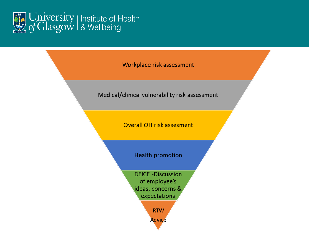

Workplace risk assessment

Medical/clinical vulnerability risk assessment

Overall OH risk assesment

Health promotion

**DEICE-Discussion** of employee's ideas, concerns & expectations

> **RTW Advice**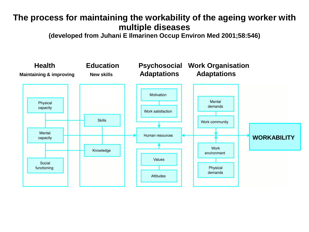#### **The process for maintaining the workability of the ageing worker with multiple diseases**

**(developed from Juhani E Ilmarinen Occup Environ Med 2001;58:546)**